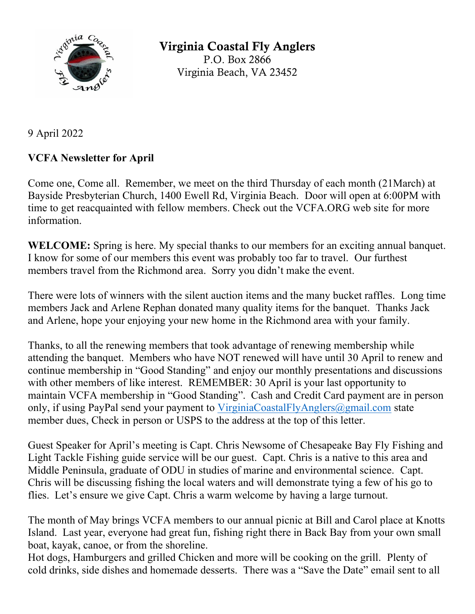

Virginia Coastal Fly Anglers P.O. Box 2866 Virginia Beach, VA 23452

9 April 2022

## **VCFA Newsletter for April**

Come one, Come all. Remember, we meet on the third Thursday of each month (21March) at Bayside Presbyterian Church, 1400 Ewell Rd, Virginia Beach. Door will open at 6:00PM with time to get reacquainted with fellow members. Check out the VCFA.ORG web site for more information.

**WELCOME:** Spring is here. My special thanks to our members for an exciting annual banquet. I know for some of our members this event was probably too far to travel. Our furthest members travel from the Richmond area. Sorry you didn't make the event.

There were lots of winners with the silent auction items and the many bucket raffles. Long time members Jack and Arlene Rephan donated many quality items for the banquet. Thanks Jack and Arlene, hope your enjoying your new home in the Richmond area with your family.

Thanks, to all the renewing members that took advantage of renewing membership while attending the banquet. Members who have NOT renewed will have until 30 April to renew and continue membership in "Good Standing" and enjoy our monthly presentations and discussions with other members of like interest. REMEMBER: 30 April is your last opportunity to maintain VCFA membership in "Good Standing". Cash and Credit Card payment are in person only, if using PayPal send your payment to VirginiaCoastalFlyAnglers@gmail.com state member dues, Check in person or USPS to the address at the top of this letter.

Guest Speaker for April's meeting is Capt. Chris Newsome of Chesapeake Bay Fly Fishing and Light Tackle Fishing guide service will be our guest. Capt. Chris is a native to this area and Middle Peninsula, graduate of ODU in studies of marine and environmental science. Capt. Chris will be discussing fishing the local waters and will demonstrate tying a few of his go to flies. Let's ensure we give Capt. Chris a warm welcome by having a large turnout.

The month of May brings VCFA members to our annual picnic at Bill and Carol place at Knotts Island. Last year, everyone had great fun, fishing right there in Back Bay from your own small boat, kayak, canoe, or from the shoreline.

Hot dogs, Hamburgers and grilled Chicken and more will be cooking on the grill. Plenty of cold drinks, side dishes and homemade desserts. There was a "Save the Date" email sent to all